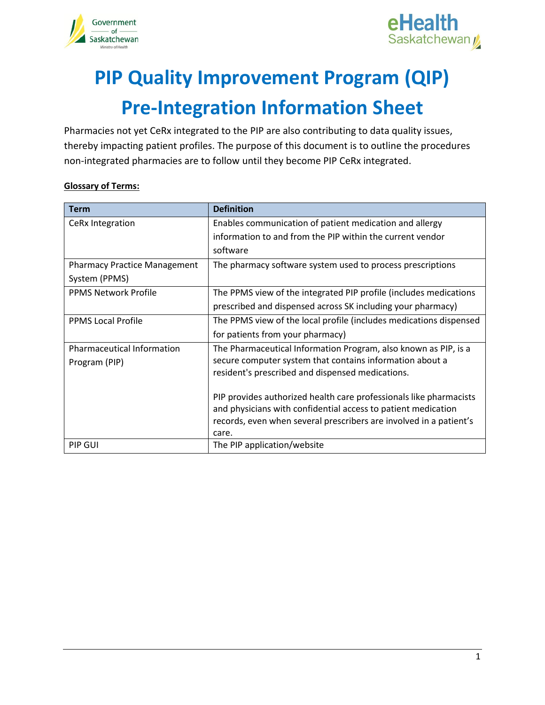



# **PIP Quality Improvement Program (QIP) Pre-Integration Information Sheet**

Pharmacies not yet CeRx integrated to the PIP are also contributing to data quality issues, thereby impacting patient profiles. The purpose of this document is to outline the procedures non-integrated pharmacies are to follow until they become PIP CeRx integrated.

#### **Glossary of Terms:**

| <b>Term</b>                         | <b>Definition</b>                                                                                                                   |
|-------------------------------------|-------------------------------------------------------------------------------------------------------------------------------------|
| CeRx Integration                    | Enables communication of patient medication and allergy                                                                             |
|                                     | information to and from the PIP within the current vendor                                                                           |
|                                     | software                                                                                                                            |
| <b>Pharmacy Practice Management</b> | The pharmacy software system used to process prescriptions                                                                          |
| System (PPMS)                       |                                                                                                                                     |
| <b>PPMS Network Profile</b>         | The PPMS view of the integrated PIP profile (includes medications                                                                   |
|                                     | prescribed and dispensed across SK including your pharmacy)                                                                         |
| <b>PPMS Local Profile</b>           | The PPMS view of the local profile (includes medications dispensed                                                                  |
|                                     | for patients from your pharmacy)                                                                                                    |
| <b>Pharmaceutical Information</b>   | The Pharmaceutical Information Program, also known as PIP, is a                                                                     |
| Program (PIP)                       | secure computer system that contains information about a                                                                            |
|                                     | resident's prescribed and dispensed medications.                                                                                    |
|                                     |                                                                                                                                     |
|                                     | PIP provides authorized health care professionals like pharmacists<br>and physicians with confidential access to patient medication |
|                                     | records, even when several prescribers are involved in a patient's                                                                  |
|                                     | care.                                                                                                                               |
| PIP GUI                             | The PIP application/website                                                                                                         |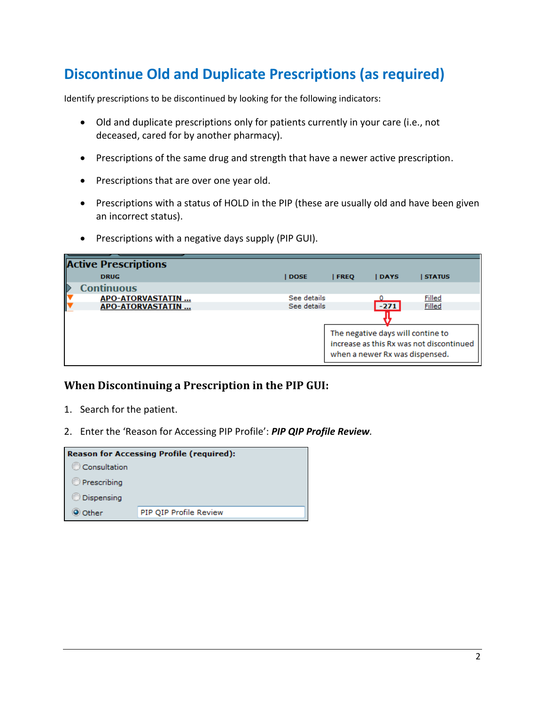### **Discontinue Old and Duplicate Prescriptions (as required)**

Identify prescriptions to be discontinued by looking for the following indicators:

- Old and duplicate prescriptions only for patients currently in your care (i.e., not deceased, cared for by another pharmacy).
- Prescriptions of the same drug and strength that have a newer active prescription.
- Prescriptions that are over one year old.
- Prescriptions with a status of HOLD in the PIP (these are usually old and have been given an incorrect status).
- Prescriptions with a negative days supply (PIP GUI).

| <b>Active Prescriptions</b> |             |                                                                                                                 |        |               |
|-----------------------------|-------------|-----------------------------------------------------------------------------------------------------------------|--------|---------------|
| <b>DRUG</b>                 | <b>DOSE</b> | <b>FREO</b>                                                                                                     | DAYS   | <b>STATUS</b> |
| D<br><b>Continuous</b>      |             |                                                                                                                 |        |               |
| APO-ATORVASTATIN            | See details |                                                                                                                 |        | <b>Filled</b> |
| APO-ATORVASTATIN            | See details |                                                                                                                 | $-271$ | Filled        |
|                             |             |                                                                                                                 |        |               |
|                             |             | The negative days will contine to<br>increase as this Rx was not discontinued<br>when a newer Rx was dispensed. |        |               |

#### **When Discontinuing a Prescription in the PIP GUI:**

- 1. Search for the patient.
- 2. Enter the 'Reason for Accessing PIP Profile': *PIP QIP Profile Review.*

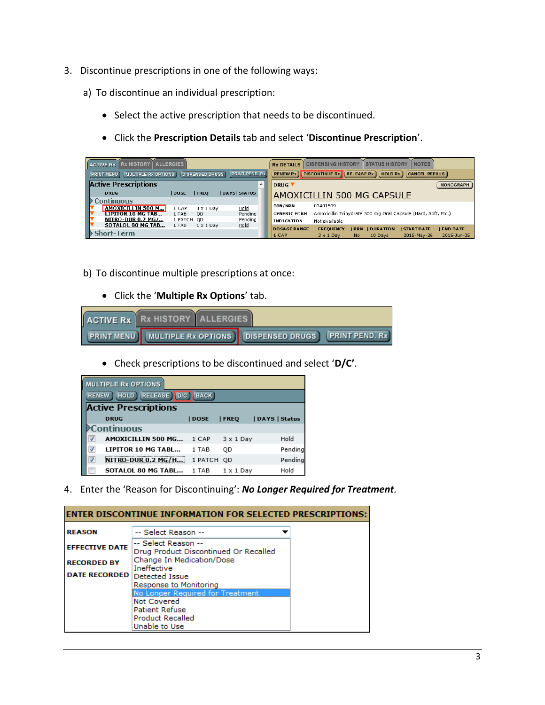- 3. Discontinue prescriptions in one of the following ways:
	- a) To discontinue an individual prescription:
		- Select the active prescription that needs to be discontinued.
		- Click the **Prescription Details** tab and select '**Discontinue Prescription**'.

| <b>ACTIVE Rx</b> Rx HISTORY<br><b>ILALLERGIES</b>                                           |              |                  |                     | <b>Rx DETAILS</b>                                                                                        | <b>NOTES</b><br><b>DISPENSING HISTORY</b><br><b>STATUS HISTORY</b>                                                                                      |                  |
|---------------------------------------------------------------------------------------------|--------------|------------------|---------------------|----------------------------------------------------------------------------------------------------------|---------------------------------------------------------------------------------------------------------------------------------------------------------|------------------|
| <b>PRINT PEND. Rx</b><br><b>PRINT MENU</b><br>MULTIPLE Rx OPTIONS<br><b>DISPENSED DRUGS</b> |              |                  |                     | <b>RENEW Rx</b><br><b>DISCONTINUE Rx</b><br><b>CANCEL REFILLS</b><br><b>RELEASE Rx</b><br><b>HOLD Rx</b> |                                                                                                                                                         |                  |
| <b>Active Prescriptions</b>                                                                 |              |                  |                     | DRUG <sup>V</sup>                                                                                        |                                                                                                                                                         | <b>MONOGRAPH</b> |
| <b>DRUG</b>                                                                                 | <b>IDOSE</b> | <b>IFREO</b>     | <b>IDAYS STATUS</b> | AMOXICILLIN 500 MG CAPSULE                                                                               |                                                                                                                                                         |                  |
| continuous                                                                                  |              |                  |                     |                                                                                                          |                                                                                                                                                         |                  |
| AMOXICILLIN 500 M                                                                           | 1 CAP        | $3 \times 1$ Dav | Hold                | DIN/NPN                                                                                                  | 02401509                                                                                                                                                |                  |
| <b>LIPITOR 10 MG TAB</b>                                                                    | 1 TAB        | <b>OD</b>        | Pendina             | <b>GENERIC FORM</b>                                                                                      | Amoxicillin Trihydrate 500 mg Oral Capsule (Hard, Soft, Etc.)                                                                                           |                  |
| NITRO-DUR 0.2 MG/                                                                           | 1 PATCH QD   |                  | Pendina             | <b>INDICATION</b>                                                                                        | Not available                                                                                                                                           |                  |
| SOTALOL 80 MG TAB                                                                           | 1 TAB        | $1 \times 1$ Dav | Hold                |                                                                                                          |                                                                                                                                                         |                  |
| <b>Short-Term</b>                                                                           |              |                  |                     | <b>DOSAGE RANGE</b><br>1 CAP                                                                             | <b>END DATE</b><br><b>FREQUENCY</b><br><b>I DURATION</b><br><b>START DATE</b><br><b>IPRN</b><br>2015-May-26<br>$3 \times 1$ Dav<br>10 Days<br><b>No</b> | 2015-Jun-05      |

- b) To discontinue multiple prescriptions at once:
	- Click the '**Multiple Rx Options**' tab.

| ACTIVE Rx   Rx HISTORY   ALLERGIES |                                                                          |  |
|------------------------------------|--------------------------------------------------------------------------|--|
|                                    | <b>PRINT MENU</b> MULTIPLE Rx OPTIONS   DISPENSED DRUGS   PRINT PEND. Rx |  |

Check prescriptions to be discontinued and select '**D/C'**.

| <b>MULTIPLE Rx OPTIONS</b>            |             |                  |               |  |  |
|---------------------------------------|-------------|------------------|---------------|--|--|
| RENEW HOLD RELEASE D/C<br><b>BACK</b> |             |                  |               |  |  |
| <b>Active Prescriptions</b>           |             |                  |               |  |  |
| <b>DRUG</b>                           | <b>DOSE</b> | <b>FREO</b>      | DAYS   Status |  |  |
| Continuous                            |             |                  |               |  |  |
| AMOXICILLIN 500 MG                    | 1 CAP       | $3 \times 1$ Day | Hold          |  |  |
| LIPITOR 10 MG TABL                    | 1 TAB       | OD               | Pending       |  |  |
| <b>NITRO-DUR 0.2 MG/H</b>             | 1 PATCH OD  |                  | Pending       |  |  |
| SOTALOL 80 MG TABL                    | 1 TAB       | $1 \times 1$ Day | Hold          |  |  |

4. Enter the 'Reason for Discontinuing': *No Longer Required for Treatment.*

| <b>ENTER DISCONTINUE INFORMATION FOR SELECTED PRESCRIPTIONS:</b> |                                                              |  |  |  |
|------------------------------------------------------------------|--------------------------------------------------------------|--|--|--|
| <b>REASON</b>                                                    | -- Select Reason --                                          |  |  |  |
| <b>EFFECTIVE DATE</b>                                            | -- Select Reason --<br>Drug Product Discontinued Or Recalled |  |  |  |
| <b>RECORDED BY</b>                                               | Change In Medication/Dose<br><b>Ineffective</b>              |  |  |  |
| <b>DATE RECORDED</b>                                             | Detected Issue                                               |  |  |  |
|                                                                  | Response to Monitoring                                       |  |  |  |
|                                                                  | No Longer Required for Treatment                             |  |  |  |
|                                                                  | Not Covered                                                  |  |  |  |
|                                                                  | <b>Patient Refuse</b>                                        |  |  |  |
|                                                                  | <b>Product Recalled</b>                                      |  |  |  |
|                                                                  | Unable to Use                                                |  |  |  |